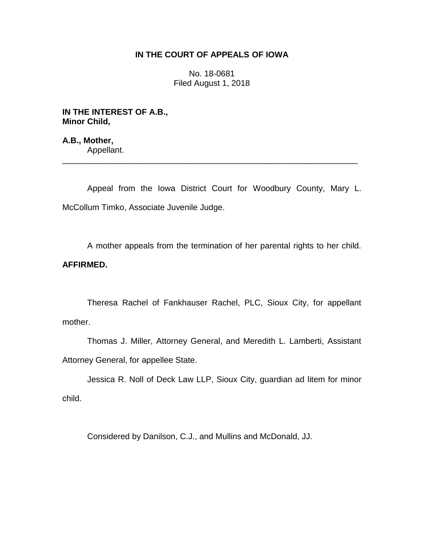# **IN THE COURT OF APPEALS OF IOWA**

No. 18-0681 Filed August 1, 2018

**IN THE INTEREST OF A.B., Minor Child,**

**A.B., Mother,** Appellant. \_\_\_\_\_\_\_\_\_\_\_\_\_\_\_\_\_\_\_\_\_\_\_\_\_\_\_\_\_\_\_\_\_\_\_\_\_\_\_\_\_\_\_\_\_\_\_\_\_\_\_\_\_\_\_\_\_\_\_\_\_\_\_\_

Appeal from the Iowa District Court for Woodbury County, Mary L. McCollum Timko, Associate Juvenile Judge.

A mother appeals from the termination of her parental rights to her child. **AFFIRMED.**

Theresa Rachel of Fankhauser Rachel, PLC, Sioux City, for appellant mother.

Thomas J. Miller, Attorney General, and Meredith L. Lamberti, Assistant Attorney General, for appellee State.

Jessica R. Noll of Deck Law LLP, Sioux City, guardian ad litem for minor child.

Considered by Danilson, C.J., and Mullins and McDonald, JJ.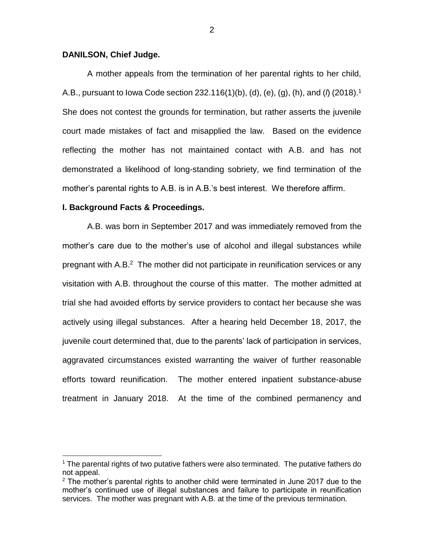## **DANILSON, Chief Judge.**

A mother appeals from the termination of her parental rights to her child, A.B., pursuant to Iowa Code section 232.116(1)(b), (d), (e), (g), (h), and (*l*) (2018).<sup>1</sup> She does not contest the grounds for termination, but rather asserts the juvenile court made mistakes of fact and misapplied the law. Based on the evidence reflecting the mother has not maintained contact with A.B. and has not demonstrated a likelihood of long-standing sobriety, we find termination of the mother's parental rights to A.B. is in A.B.'s best interest. We therefore affirm.

### **I. Background Facts & Proceedings.**

 $\overline{a}$ 

A.B. was born in September 2017 and was immediately removed from the mother's care due to the mother's use of alcohol and illegal substances while pregnant with A.B.<sup>2</sup> The mother did not participate in reunification services or any visitation with A.B. throughout the course of this matter. The mother admitted at trial she had avoided efforts by service providers to contact her because she was actively using illegal substances. After a hearing held December 18, 2017, the juvenile court determined that, due to the parents' lack of participation in services, aggravated circumstances existed warranting the waiver of further reasonable efforts toward reunification. The mother entered inpatient substance-abuse treatment in January 2018. At the time of the combined permanency and

2

<sup>&</sup>lt;sup>1</sup> The parental rights of two putative fathers were also terminated. The putative fathers do not appeal.

 $2$  The mother's parental rights to another child were terminated in June 2017 due to the mother's continued use of illegal substances and failure to participate in reunification services. The mother was pregnant with A.B. at the time of the previous termination.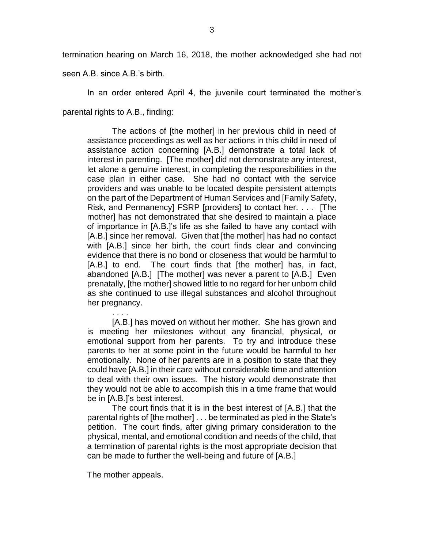termination hearing on March 16, 2018, the mother acknowledged she had not

seen A.B. since A.B.'s birth.

In an order entered April 4, the juvenile court terminated the mother's parental rights to A.B., finding:

The actions of [the mother] in her previous child in need of assistance proceedings as well as her actions in this child in need of assistance action concerning [A.B.] demonstrate a total lack of interest in parenting. [The mother] did not demonstrate any interest, let alone a genuine interest, in completing the responsibilities in the case plan in either case. She had no contact with the service providers and was unable to be located despite persistent attempts on the part of the Department of Human Services and [Family Safety, Risk, and Permanency] FSRP [providers] to contact her. . . . [The mother] has not demonstrated that she desired to maintain a place of importance in [A.B.]'s life as she failed to have any contact with [A.B.] since her removal. Given that [the mother] has had no contact with [A.B.] since her birth, the court finds clear and convincing evidence that there is no bond or closeness that would be harmful to [A.B.] to end. The court finds that [the mother] has, in fact, abandoned [A.B.] [The mother] was never a parent to [A.B.] Even prenatally, [the mother] showed little to no regard for her unborn child as she continued to use illegal substances and alcohol throughout her pregnancy.

. . . . [A.B.] has moved on without her mother. She has grown and is meeting her milestones without any financial, physical, or emotional support from her parents. To try and introduce these parents to her at some point in the future would be harmful to her emotionally. None of her parents are in a position to state that they could have [A.B.] in their care without considerable time and attention to deal with their own issues. The history would demonstrate that they would not be able to accomplish this in a time frame that would be in [A.B.]'s best interest.

The court finds that it is in the best interest of [A.B.] that the parental rights of [the mother] . . . be terminated as pled in the State's petition. The court finds, after giving primary consideration to the physical, mental, and emotional condition and needs of the child, that a termination of parental rights is the most appropriate decision that can be made to further the well-being and future of [A.B.]

The mother appeals.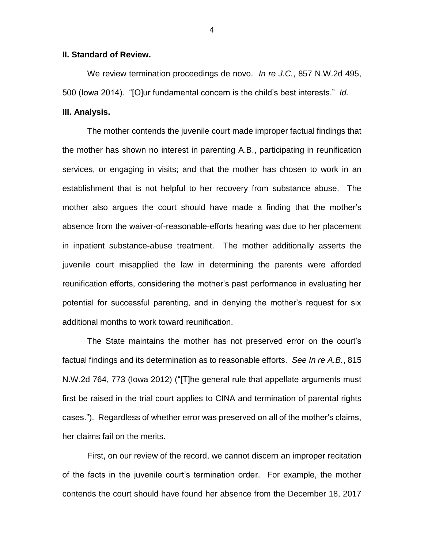## **II. Standard of Review.**

We review termination proceedings de novo. *In re J.C.*, 857 N.W.2d 495, 500 (Iowa 2014). "[O]ur fundamental concern is the child's best interests." *Id.*

## **III. Analysis.**

The mother contends the juvenile court made improper factual findings that the mother has shown no interest in parenting A.B., participating in reunification services, or engaging in visits; and that the mother has chosen to work in an establishment that is not helpful to her recovery from substance abuse. The mother also argues the court should have made a finding that the mother's absence from the waiver-of-reasonable-efforts hearing was due to her placement in inpatient substance-abuse treatment. The mother additionally asserts the juvenile court misapplied the law in determining the parents were afforded reunification efforts, considering the mother's past performance in evaluating her potential for successful parenting, and in denying the mother's request for six additional months to work toward reunification.

The State maintains the mother has not preserved error on the court's factual findings and its determination as to reasonable efforts. *See In re A.B.*, 815 N.W.2d 764, 773 (Iowa 2012) ("[T]he general rule that appellate arguments must first be raised in the trial court applies to CINA and termination of parental rights cases."). Regardless of whether error was preserved on all of the mother's claims, her claims fail on the merits.

First, on our review of the record, we cannot discern an improper recitation of the facts in the juvenile court's termination order. For example, the mother contends the court should have found her absence from the December 18, 2017

4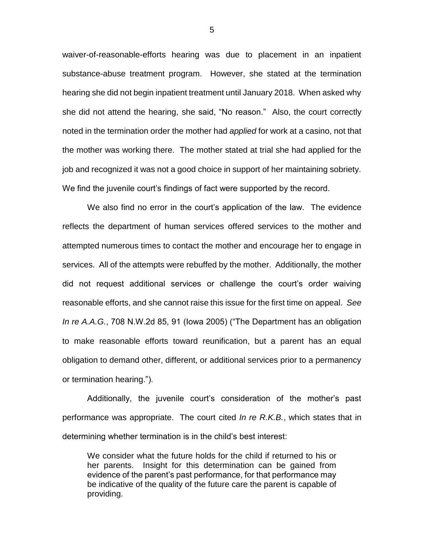waiver-of-reasonable-efforts hearing was due to placement in an inpatient substance-abuse treatment program. However, she stated at the termination hearing she did not begin inpatient treatment until January 2018. When asked why she did not attend the hearing, she said, "No reason." Also, the court correctly noted in the termination order the mother had *applied* for work at a casino, not that the mother was working there. The mother stated at trial she had applied for the job and recognized it was not a good choice in support of her maintaining sobriety. We find the juvenile court's findings of fact were supported by the record.

We also find no error in the court's application of the law. The evidence reflects the department of human services offered services to the mother and attempted numerous times to contact the mother and encourage her to engage in services. All of the attempts were rebuffed by the mother. Additionally, the mother did not request additional services or challenge the court's order waiving reasonable efforts, and she cannot raise this issue for the first time on appeal. *See In re A.A.G.*, 708 N.W.2d 85, 91 (Iowa 2005) ("The Department has an obligation to make reasonable efforts toward reunification, but a parent has an equal obligation to demand other, different, or additional services prior to a permanency or termination hearing.").

Additionally, the juvenile court's consideration of the mother's past performance was appropriate. The court cited *In re R.K.B.*, which states that in determining whether termination is in the child's best interest:

We consider what the future holds for the child if returned to his or her parents. Insight for this determination can be gained from evidence of the parent's past performance, for that performance may be indicative of the quality of the future care the parent is capable of providing.

5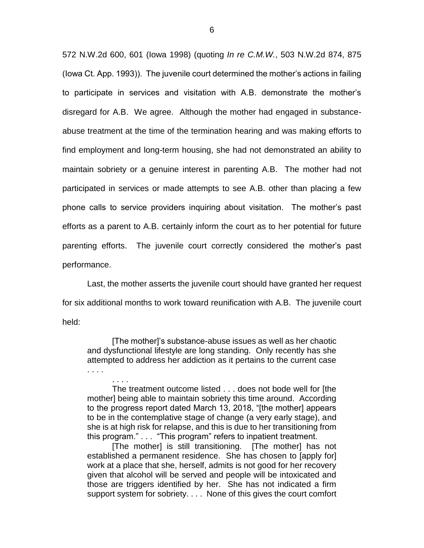572 N.W.2d 600, 601 (Iowa 1998) (quoting *In re C.M.W.*, 503 N.W.2d 874, 875 (Iowa Ct. App. 1993)). The juvenile court determined the mother's actions in failing to participate in services and visitation with A.B. demonstrate the mother's disregard for A.B. We agree. Although the mother had engaged in substanceabuse treatment at the time of the termination hearing and was making efforts to find employment and long-term housing, she had not demonstrated an ability to maintain sobriety or a genuine interest in parenting A.B. The mother had not participated in services or made attempts to see A.B. other than placing a few phone calls to service providers inquiring about visitation. The mother's past efforts as a parent to A.B. certainly inform the court as to her potential for future parenting efforts. The juvenile court correctly considered the mother's past performance.

Last, the mother asserts the juvenile court should have granted her request for six additional months to work toward reunification with A.B. The juvenile court held:

[The mother]'s substance-abuse issues as well as her chaotic and dysfunctional lifestyle are long standing. Only recently has she attempted to address her addiction as it pertains to the current case . . . .

. . . .

The treatment outcome listed . . . does not bode well for [the mother] being able to maintain sobriety this time around. According to the progress report dated March 13, 2018, "[the mother] appears to be in the contemplative stage of change (a very early stage), and she is at high risk for relapse, and this is due to her transitioning from this program." . . . "This program" refers to inpatient treatment.

[The mother] is still transitioning. [The mother] has not established a permanent residence. She has chosen to [apply for] work at a place that she, herself, admits is not good for her recovery given that alcohol will be served and people will be intoxicated and those are triggers identified by her. She has not indicated a firm support system for sobriety. . . . None of this gives the court comfort